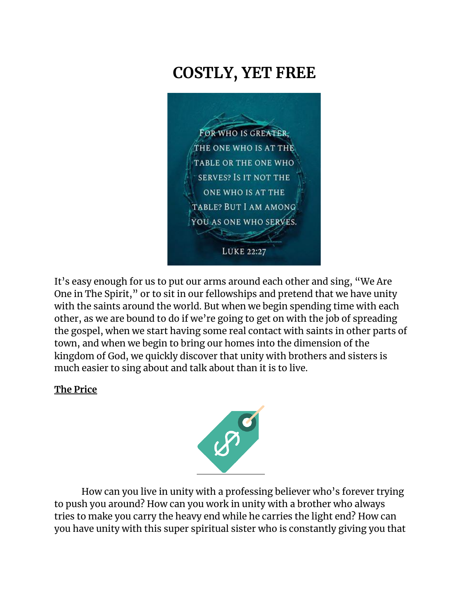# **COSTLY, YET FREE**



It's easy enough for us to put our arms around each other and sing, "We Are One in The Spirit," or to sit in our fellowships and pretend that we have unity with the saints around the world. But when we begin spending time with each other, as we are bound to do if we're going to get on with the job of spreading the gospel, when we start having some real contact with saints in other parts of town, and when we begin to bring our homes into the dimension of the kingdom of God, we quickly discover that unity with brothers and sisters is much easier to sing about and talk about than it is to live.

#### **The Price**



How can you live in unity with a professing believer who's forever trying to push you around? How can you work in unity with a brother who always tries to make you carry the heavy end while he carries the light end? How can you have unity with this super spiritual sister who is constantly giving you that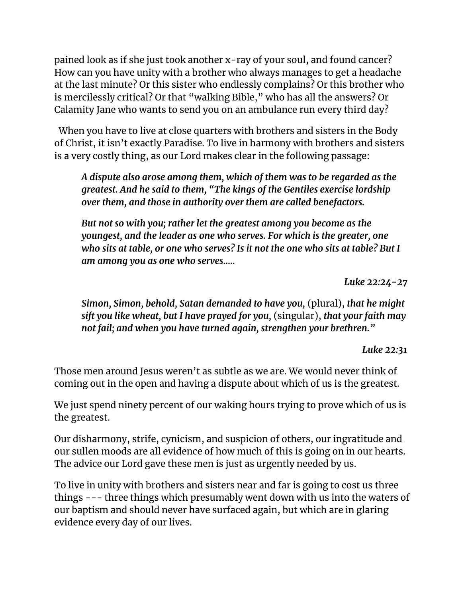pained look as if she just took another x-ray of your soul, and found cancer? How can you have unity with a brother who always manages to get a headache at the last minute? Or this sister who endlessly complains? Or this brother who is mercilessly critical? Or that "walking Bible," who has all the answers? Or Calamity Jane who wants to send you on an ambulance run every third day?

 When you have to live at close quarters with brothers and sisters in the Body of Christ, it isn't exactly Paradise. To live in harmony with brothers and sisters is a very costly thing, as our Lord makes clear in the following passage:

*A dispute also arose among them, which of them was to be regarded as the greatest. And he said to them, "The kings of the Gentiles exercise lordship over them, and those in authority over them are called benefactors.* 

*But not so with you; rather let the greatest among you become as the youngest, and the leader as one who serves. For which is the greater, one who sits at table, or one who serves? Is it not the one who sits at table? But I am among you as one who serves.....*

*Luke 22:24-27*

*Simon, Simon, behold, Satan demanded to have you,* (plural), *that he might sift you like wheat, but I have prayed for you,* (singular), *that your faith may not fail; and when you have turned again, strengthen your brethren."*

*Luke 22:31*

Those men around Jesus weren't as subtle as we are. We would never think of coming out in the open and having a dispute about which of us is the greatest.

We just spend ninety percent of our waking hours trying to prove which of us is the greatest.

Our disharmony, strife, cynicism, and suspicion of others, our ingratitude and our sullen moods are all evidence of how much of this is going on in our hearts. The advice our Lord gave these men is just as urgently needed by us.

To live in unity with brothers and sisters near and far is going to cost us three things --- three things which presumably went down with us into the waters of our baptism and should never have surfaced again, but which are in glaring evidence every day of our lives.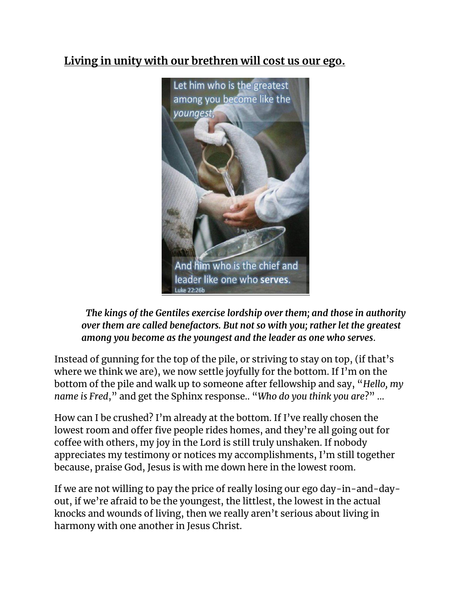### **Living in unity with our brethren will cost us our ego.**



 *The kings of the Gentiles exercise lordship over them; and those in authority over them are called benefactors. But not so with you; rather let the greatest among you become as the youngest and the leader as one who serves*.

Instead of gunning for the top of the pile, or striving to stay on top, (if that's where we think we are), we now settle joyfully for the bottom. If I'm on the bottom of the pile and walk up to someone after fellowship and say, "*Hello, my name is Fred*," and get the Sphinx response.. "*Who do you think you are*?" …

How can I be crushed? I'm already at the bottom. If I've really chosen the lowest room and offer five people rides homes, and they're all going out for coffee with others, my joy in the Lord is still truly unshaken. If nobody appreciates my testimony or notices my accomplishments, I'm still together because, praise God, Jesus is with me down here in the lowest room.

If we are not willing to pay the price of really losing our ego day-in-and-dayout, if we're afraid to be the youngest, the littlest, the lowest in the actual knocks and wounds of living, then we really aren't serious about living in harmony with one another in Jesus Christ.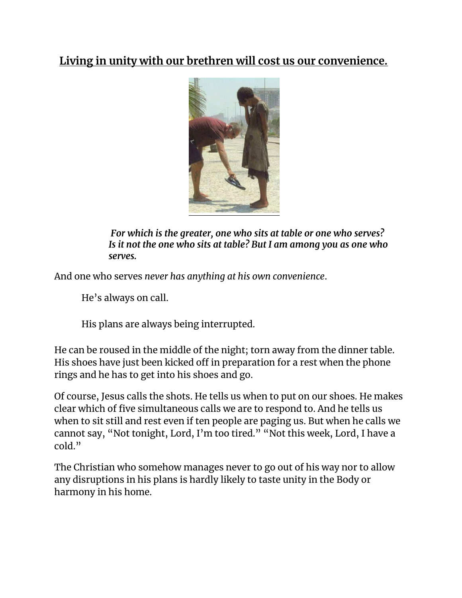#### **Living in unity with our brethren will cost us our convenience.**



*For which is the greater, one who sits at table or one who serves? Is it not the one who sits at table? But I am among you as one who serves.*

And one who serves *never has anything at his own convenience*.

He's always on call.

His plans are always being interrupted.

He can be roused in the middle of the night; torn away from the dinner table. His shoes have just been kicked off in preparation for a rest when the phone rings and he has to get into his shoes and go.

Of course, Jesus calls the shots. He tells us when to put on our shoes. He makes clear which of five simultaneous calls we are to respond to. And he tells us when to sit still and rest even if ten people are paging us. But when he calls we cannot say, "Not tonight, Lord, I'm too tired." "Not this week, Lord, I have a cold."

The Christian who somehow manages never to go out of his way nor to allow any disruptions in his plans is hardly likely to taste unity in the Body or harmony in his home.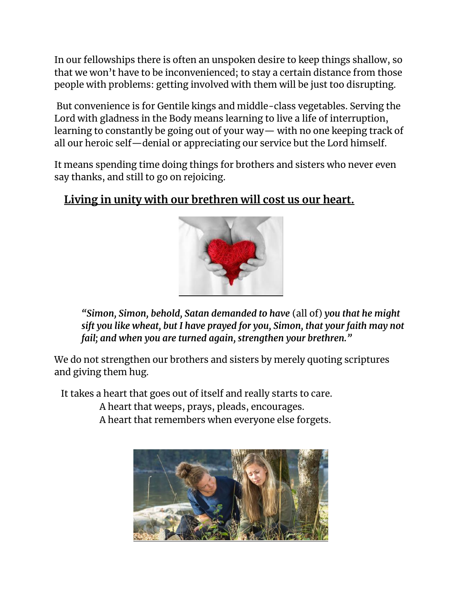In our fellowships there is often an unspoken desire to keep things shallow, so that we won't have to be inconvenienced; to stay a certain distance from those people with problems: getting involved with them will be just too disrupting.

But convenience is for Gentile kings and middle-class vegetables. Serving the Lord with gladness in the Body means learning to live a life of interruption, learning to constantly be going out of your way— with no one keeping track of all our heroic self—denial or appreciating our service but the Lord himself.

It means spending time doing things for brothers and sisters who never even say thanks, and still to go on rejoicing.

#### **Living in unity with our brethren will cost us our heart.**



*"Simon, Simon, behold, Satan demanded to have* (all of) *you that he might sift you like wheat, but I have prayed for you, Simon, that your faith may not fail; and when you are turned again, strengthen your brethren."*

We do not strengthen our brothers and sisters by merely quoting scriptures and giving them hug.

It takes a heart that goes out of itself and really starts to care.

A heart that weeps, prays, pleads, encourages.

A heart that remembers when everyone else forgets.

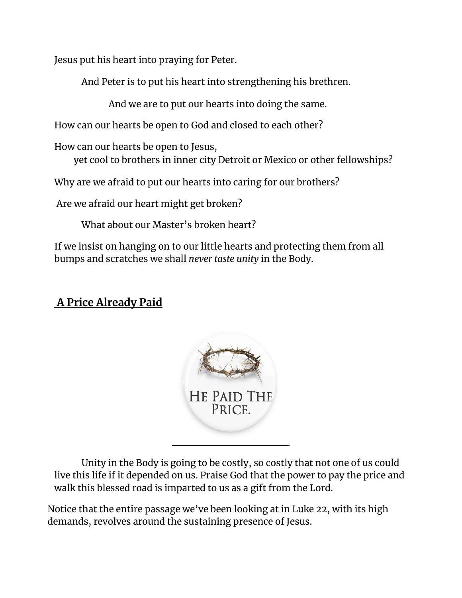Jesus put his heart into praying for Peter.

And Peter is to put his heart into strengthening his brethren.

And we are to put our hearts into doing the same.

How can our hearts be open to God and closed to each other?

How can our hearts be open to Jesus,

yet cool to brothers in inner city Detroit or Mexico or other fellowships?

Why are we afraid to put our hearts into caring for our brothers?

Are we afraid our heart might get broken?

What about our Master's broken heart?

If we insist on hanging on to our little hearts and protecting them from all bumps and scratches we shall *never taste unity* in the Body.

## **A Price Already Paid**



Unity in the Body is going to be costly, so costly that not one of us could live this life if it depended on us. Praise God that the power to pay the price and walk this blessed road is imparted to us as a gift from the Lord.

Notice that the entire passage we've been looking at in Luke 22, with its high demands, revolves around the sustaining presence of Jesus.